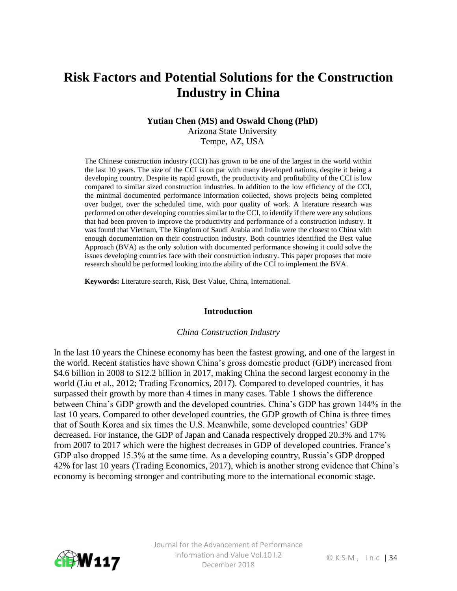# **Risk Factors and Potential Solutions for the Construction Industry in China**

#### **Yutian Chen (MS) and Oswald Chong (PhD)**

Arizona State University Tempe, AZ, USA

The Chinese construction industry (CCI) has grown to be one of the largest in the world within the last 10 years. The size of the CCI is on par with many developed nations, despite it being a developing country. Despite its rapid growth, the productivity and profitability of the CCI is low compared to similar sized construction industries. In addition to the low efficiency of the CCI, the minimal documented performance information collected, shows projects being completed over budget, over the scheduled time, with poor quality of work. A literature research was performed on other developing countries similar to the CCI, to identify if there were any solutions that had been proven to improve the productivity and performance of a construction industry. It was found that Vietnam, The Kingdom of Saudi Arabia and India were the closest to China with enough documentation on their construction industry. Both countries identified the Best value Approach (BVA) as the only solution with documented performance showing it could solve the issues developing countries face with their construction industry. This paper proposes that more research should be performed looking into the ability of the CCI to implement the BVA.

**Keywords:** Literature search, Risk, Best Value, China, International.

#### **Introduction**

#### *China Construction Industry*

In the last 10 years the Chinese economy has been the fastest growing, and one of the largest in the world. Recent statistics have shown China's gross domestic product (GDP) increased from \$4.6 billion in 2008 to \$12.2 billion in 2017, making China the second largest economy in the world (Liu et al., 2012; Trading Economics, 2017). Compared to developed countries, it has surpassed their growth by more than 4 times in many cases. Table 1 shows the difference between China's GDP growth and the developed countries. China's GDP has grown 144% in the last 10 years. Compared to other developed countries, the GDP growth of China is three times that of South Korea and six times the U.S. Meanwhile, some developed countries' GDP decreased. For instance, the GDP of Japan and Canada respectively dropped 20.3% and 17% from 2007 to 2017 which were the highest decreases in GDP of developed countries. France's GDP also dropped 15.3% at the same time. As a developing country, Russia's GDP dropped 42% for last 10 years (Trading Economics, 2017), which is another strong evidence that China's economy is becoming stronger and contributing more to the international economic stage.

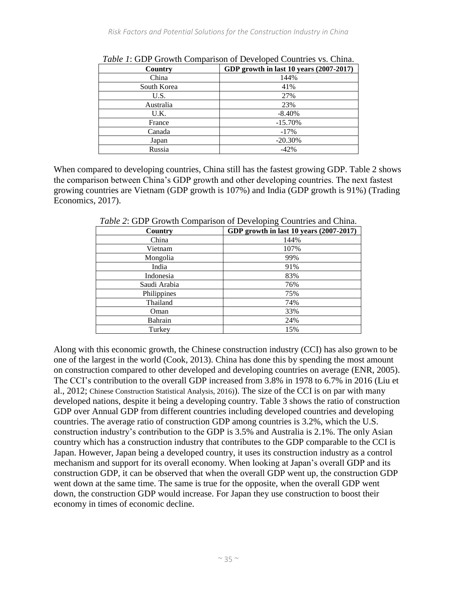| Country     | GDP growth in last 10 years (2007-2017) |  |
|-------------|-----------------------------------------|--|
| China       | 144%                                    |  |
| South Korea | 41%                                     |  |
| U.S.        | 27%                                     |  |
| Australia   | 23%                                     |  |
| U.K.        | $-8.40%$                                |  |
| France      | $-15.70%$                               |  |
| Canada      | $-17%$                                  |  |
| Japan       | $-20.30%$                               |  |
| Russia      | $-42%$                                  |  |

*Table 1*: GDP Growth Comparison of Developed Countries vs. China.

When compared to developing countries, China still has the fastest growing GDP. Table 2 shows the comparison between China's GDP growth and other developing countries. The next fastest growing countries are Vietnam (GDP growth is 107%) and India (GDP growth is 91%) (Trading Economics, 2017).

| <i>Table 2.</i> ODT OTOWIN COMparison of Developing Countries and China. |  |  |
|--------------------------------------------------------------------------|--|--|
| GDP growth in last 10 years (2007-2017)                                  |  |  |
| 144%                                                                     |  |  |
| 107%                                                                     |  |  |
| 99%                                                                      |  |  |
| 91%                                                                      |  |  |
| 83%                                                                      |  |  |
| 76%                                                                      |  |  |
| 75%                                                                      |  |  |
| 74%                                                                      |  |  |
| 33%                                                                      |  |  |
| 24%                                                                      |  |  |
| 15%                                                                      |  |  |
|                                                                          |  |  |

*Table 2*: GDP Growth Comparison of Developing Countries and China.

Along with this economic growth, the Chinese construction industry (CCI) has also grown to be one of the largest in the world (Cook, 2013). China has done this by spending the most amount on construction compared to other developed and developing countries on average (ENR, 2005). The CCI's contribution to the overall GDP increased from 3.8% in 1978 to 6.7% in 2016 (Liu et al., 2012; Chinese Construction Statistical Analysis, 2016)). The size of the CCI is on par with many developed nations, despite it being a developing country. Table 3 shows the ratio of construction GDP over Annual GDP from different countries including developed countries and developing countries. The average ratio of construction GDP among countries is 3.2%, which the U.S. construction industry's contribution to the GDP is 3.5% and Australia is 2.1%. The only Asian country which has a construction industry that contributes to the GDP comparable to the CCI is Japan. However, Japan being a developed country, it uses its construction industry as a control mechanism and support for its overall economy. When looking at Japan's overall GDP and its construction GDP, it can be observed that when the overall GDP went up, the construction GDP went down at the same time. The same is true for the opposite, when the overall GDP went down, the construction GDP would increase. For Japan they use construction to boost their economy in times of economic decline.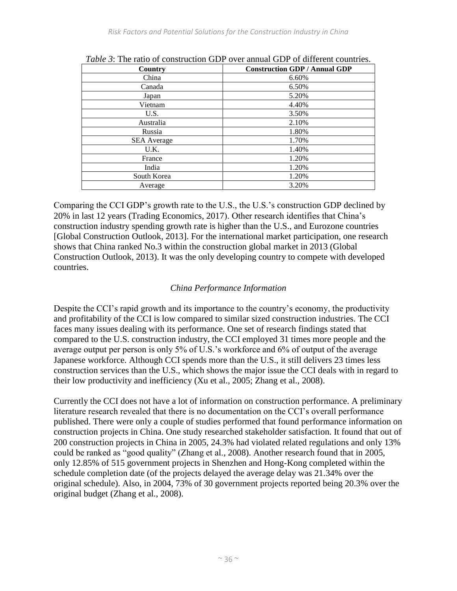| Country            | <b>Construction GDP / Annual GDP</b> |
|--------------------|--------------------------------------|
| China              | 6.60%                                |
| Canada             | 6.50%                                |
| Japan              | 5.20%                                |
| Vietnam            | 4.40%                                |
| U.S.               | 3.50%                                |
| Australia          | 2.10%                                |
| Russia             | 1.80%                                |
| <b>SEA</b> Average | 1.70%                                |
| U.K.               | 1.40%                                |
| France             | 1.20%                                |
| India              | 1.20%                                |
| South Korea        | 1.20%                                |
| Average            | 3.20%                                |

*Table 3*: The ratio of construction GDP over annual GDP of different countries.

Comparing the CCI GDP's growth rate to the U.S., the U.S.'s construction GDP declined by 20% in last 12 years (Trading Economics, 2017). Other research identifies that China's construction industry spending growth rate is higher than the U.S., and Eurozone countries [Global Construction Outlook, 2013]. For the international market participation, one research shows that China ranked No.3 within the construction global market in 2013 (Global Construction Outlook, 2013). It was the only developing country to compete with developed countries.

## *China Performance Information*

Despite the CCI's rapid growth and its importance to the country's economy, the productivity and profitability of the CCI is low compared to similar sized construction industries. The CCI faces many issues dealing with its performance. One set of research findings stated that compared to the U.S. construction industry, the CCI employed 31 times more people and the average output per person is only 5% of U.S.'s workforce and 6% of output of the average Japanese workforce. Although CCI spends more than the U.S., it still delivers 23 times less construction services than the U.S., which shows the major issue the CCI deals with in regard to their low productivity and inefficiency (Xu et al., 2005; Zhang et al., 2008).

Currently the CCI does not have a lot of information on construction performance. A preliminary literature research revealed that there is no documentation on the CCI's overall performance published. There were only a couple of studies performed that found performance information on construction projects in China. One study researched stakeholder satisfaction. It found that out of 200 construction projects in China in 2005, 24.3% had violated related regulations and only 13% could be ranked as "good quality" (Zhang et al., 2008). Another research found that in 2005, only 12.85% of 515 government projects in Shenzhen and Hong-Kong completed within the schedule completion date (of the projects delayed the average delay was 21.34% over the original schedule). Also, in 2004, 73% of 30 government projects reported being 20.3% over the original budget (Zhang et al., 2008).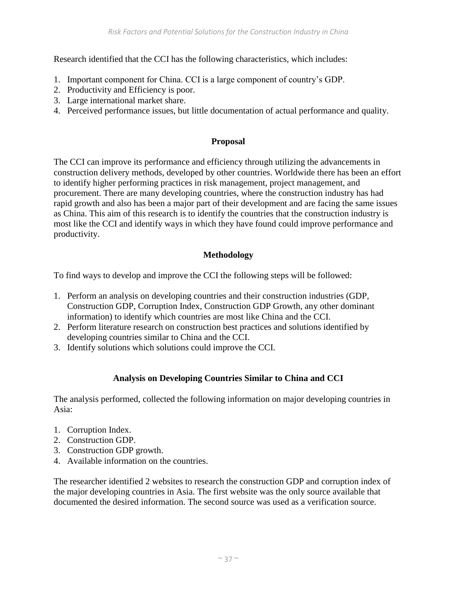Research identified that the CCI has the following characteristics, which includes:

- 1. Important component for China. CCI is a large component of country's GDP.
- 2. Productivity and Efficiency is poor.
- 3. Large international market share.
- 4. Perceived performance issues, but little documentation of actual performance and quality.

## **Proposal**

The CCI can improve its performance and efficiency through utilizing the advancements in construction delivery methods, developed by other countries. Worldwide there has been an effort to identify higher performing practices in risk management, project management, and procurement. There are many developing countries, where the construction industry has had rapid growth and also has been a major part of their development and are facing the same issues as China. This aim of this research is to identify the countries that the construction industry is most like the CCI and identify ways in which they have found could improve performance and productivity.

# **Methodology**

To find ways to develop and improve the CCI the following steps will be followed:

- 1. Perform an analysis on developing countries and their construction industries (GDP, Construction GDP, Corruption Index, Construction GDP Growth, any other dominant information) to identify which countries are most like China and the CCI.
- 2. Perform literature research on construction best practices and solutions identified by developing countries similar to China and the CCI.
- 3. Identify solutions which solutions could improve the CCI.

# **Analysis on Developing Countries Similar to China and CCI**

The analysis performed, collected the following information on major developing countries in Asia:

- 1. Corruption Index.
- 2. Construction GDP.
- 3. Construction GDP growth.
- 4. Available information on the countries.

The researcher identified 2 websites to research the construction GDP and corruption index of the major developing countries in Asia. The first website was the only source available that documented the desired information. The second source was used as a verification source.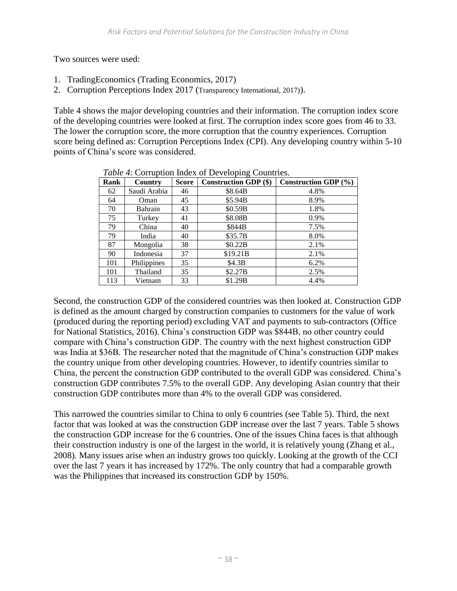Two sources were used:

- 1. TradingEconomics (Trading Economics, 2017)
- 2. Corruption Perceptions Index 2017 (Transparency International, 2017)).

Table 4 shows the major developing countries and their information. The corruption index score of the developing countries were looked at first. The corruption index score goes from 46 to 33. The lower the corruption score, the more corruption that the country experiences. Corruption score being defined as: Corruption Perceptions Index (CPI). Any developing country within 5-10 points of China's score was considered.

| Twore it contaption misen of Beveloping countries. |              |              |                              |                          |
|----------------------------------------------------|--------------|--------------|------------------------------|--------------------------|
| Rank                                               | Country      | <b>Score</b> | <b>Construction GDP (\$)</b> | Construction GDP $(\% )$ |
| 62                                                 | Saudi Arabia | 46           | \$8.64B                      | 4.8%                     |
| 64                                                 | Oman         | 45           | \$5.94B                      | 8.9%                     |
| 70                                                 | Bahrain      | 43           | \$0.59B                      | 1.8%                     |
| 75                                                 | Turkey       | 41           | \$8.08B                      | 0.9%                     |
| 79                                                 | China        | 40           | \$844B                       | 7.5%                     |
| 79                                                 | India        | 40           | \$35.7B                      | 8.0%                     |
| 87                                                 | Mongolia     | 38           | \$0.22B                      | 2.1%                     |
| 90                                                 | Indonesia    | 37           | \$19.21B                     | 2.1%                     |
| 101                                                | Philippines  | 35           | \$4.3B                       | 6.2%                     |
| 101                                                | Thailand     | 35           | \$2.27B                      | 2.5%                     |
| 113                                                | Vietnam      | 33           | \$1.29B                      | 4.4%                     |

*Table 4:* Corruption Index of Developing Countries.

Second, the construction GDP of the considered countries was then looked at. Construction GDP is defined as the amount charged by construction companies to customers for the value of work (produced during the reporting period) excluding VAT and payments to sub-contractors (Office for National Statistics, 2016). China's construction GDP was \$844B, no other country could compare with China's construction GDP. The country with the next highest construction GDP was India at \$36B. The researcher noted that the magnitude of China's construction GDP makes the country unique from other developing countries. However, to identify countries similar to China, the percent the construction GDP contributed to the overall GDP was considered. China's construction GDP contributes 7.5% to the overall GDP. Any developing Asian country that their construction GDP contributes more than 4% to the overall GDP was considered.

This narrowed the countries similar to China to only 6 countries (see Table 5). Third, the next factor that was looked at was the construction GDP increase over the last 7 years. Table 5 shows the construction GDP increase for the 6 countries. One of the issues China faces is that although their construction industry is one of the largest in the world, it is relatively young (Zhang et al., 2008). Many issues arise when an industry grows too quickly. Looking at the growth of the CCI over the last 7 years it has increased by 172%. The only country that had a comparable growth was the Philippines that increased its construction GDP by 150%.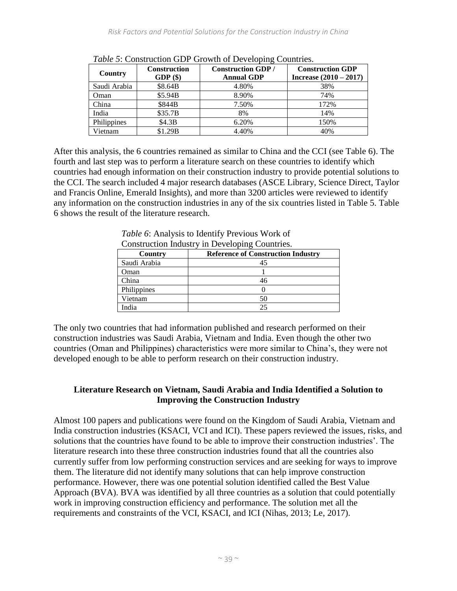| Country      | <b>Construction</b><br>GDP(\$) | <b>Construction GDP/</b><br><b>Annual GDP</b> | <b>Construction GDP</b><br>Increase $(2010 - 2017)$ |
|--------------|--------------------------------|-----------------------------------------------|-----------------------------------------------------|
| Saudi Arabia | \$8.64B                        | 4.80%                                         | 38%                                                 |
| Oman         | \$5.94B                        | 8.90%                                         | 74%                                                 |
| China        | \$844B                         | 7.50%                                         | 172%                                                |
| India        | \$35.7B                        | 8%                                            | 14%                                                 |
| Philippines  | \$4.3B                         | 6.20%                                         | 150%                                                |
| Vietnam      | \$1.29B                        | 4.40%                                         | 40%                                                 |

*Table 5*: Construction GDP Growth of Developing Countries.

After this analysis, the 6 countries remained as similar to China and the CCI (see Table 6). The fourth and last step was to perform a literature search on these countries to identify which countries had enough information on their construction industry to provide potential solutions to the CCI. The search included 4 major research databases (ASCE Library, Science Direct, Taylor and Francis Online, Emerald Insights), and more than 3200 articles were reviewed to identify any information on the construction industries in any of the six countries listed in Table 5. Table 6 shows the result of the literature research.

*Table 6*: Analysis to Identify Previous Work of Construction Industry in Developing Countries.

| Country      | <b>Reference of Construction Industry</b> |
|--------------|-------------------------------------------|
| Saudi Arabia |                                           |
| Oman         |                                           |
| China        |                                           |
| Philippines  |                                           |
| Vietnam      |                                           |
| ndia         |                                           |

The only two countries that had information published and research performed on their construction industries was Saudi Arabia, Vietnam and India. Even though the other two countries (Oman and Philippines) characteristics were more similar to China's, they were not developed enough to be able to perform research on their construction industry.

## **Literature Research on Vietnam, Saudi Arabia and India Identified a Solution to Improving the Construction Industry**

Almost 100 papers and publications were found on the Kingdom of Saudi Arabia, Vietnam and India construction industries (KSACI, VCI and ICI). These papers reviewed the issues, risks, and solutions that the countries have found to be able to improve their construction industries'. The literature research into these three construction industries found that all the countries also currently suffer from low performing construction services and are seeking for ways to improve them. The literature did not identify many solutions that can help improve construction performance. However, there was one potential solution identified called the Best Value Approach (BVA). BVA was identified by all three countries as a solution that could potentially work in improving construction efficiency and performance. The solution met all the requirements and constraints of the VCI, KSACI, and ICI (Nihas, 2013; Le, 2017).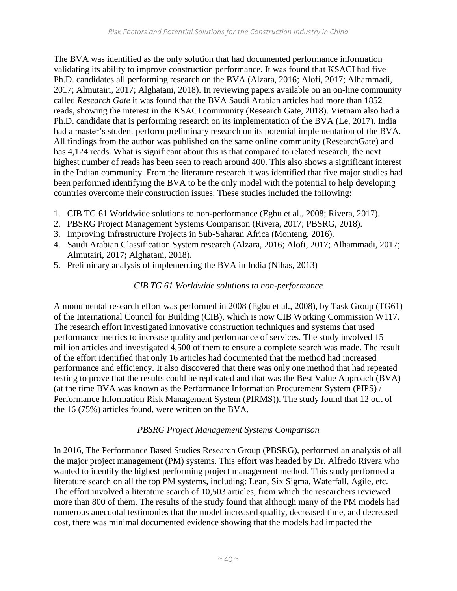The BVA was identified as the only solution that had documented performance information validating its ability to improve construction performance. It was found that KSACI had five Ph.D. candidates all performing research on the BVA (Alzara, 2016; Alofi, 2017; Alhammadi, 2017; Almutairi, 2017; Alghatani, 2018). In reviewing papers available on an on-line community called *Research Gate* it was found that the BVA Saudi Arabian articles had more than 1852 reads, showing the interest in the KSACI community [\(Research Gate,](https://www.researchgate.net/) 2018). Vietnam also had a Ph.D. candidate that is performing research on its implementation of the BVA (Le, 2017). India had a master's student perform preliminary research on its potential implementation of the BVA. All findings from the author was published on the same online community (ResearchGate) and has 4,124 reads. What is significant about this is that compared to related research, the next highest number of reads has been seen to reach around 400. This also shows a significant interest in the Indian community. From the literature research it was identified that five major studies had been performed identifying the BVA to be the only model with the potential to help developing countries overcome their construction issues. These studies included the following:

- 1. CIB TG 61 Worldwide solutions to non-performance (Egbu et al., 2008; Rivera, 2017).
- 2. PBSRG Project Management Systems Comparison (Rivera, 2017; PBSRG, 2018).
- 3. Improving Infrastructure Projects in Sub-Saharan Africa (Monteng, 2016).
- 4. Saudi Arabian Classification System research (Alzara, 2016; Alofi, 2017; Alhammadi, 2017; Almutairi, 2017; Alghatani, 2018).
- 5. Preliminary analysis of implementing the BVA in India (Nihas, 2013)

## *CIB TG 61 Worldwide solutions to non-performance*

A monumental research effort was performed in 2008 (Egbu et al., 2008), by Task Group (TG61) of the International Council for Building (CIB), which is now CIB Working Commission W117. The research effort investigated innovative construction techniques and systems that used performance metrics to increase quality and performance of services. The study involved 15 million articles and investigated 4,500 of them to ensure a complete search was made. The result of the effort identified that only 16 articles had documented that the method had increased performance and efficiency. It also discovered that there was only one method that had repeated testing to prove that the results could be replicated and that was the Best Value Approach (BVA) (at the time BVA was known as the Performance Information Procurement System (PIPS) / Performance Information Risk Management System (PIRMS)). The study found that 12 out of the 16 (75%) articles found, were written on the BVA.

#### *PBSRG Project Management Systems Comparison*

In 2016, The Performance Based Studies Research Group (PBSRG), performed an analysis of all the major project management (PM) systems. This effort was headed by Dr. Alfredo Rivera who wanted to identify the highest performing project management method. This study performed a literature search on all the top PM systems, including: Lean, Six Sigma, Waterfall, Agile, etc. The effort involved a literature search of 10,503 articles, from which the researchers reviewed more than 800 of them. The results of the study found that although many of the PM models had numerous anecdotal testimonies that the model increased quality, decreased time, and decreased cost, there was minimal documented evidence showing that the models had impacted the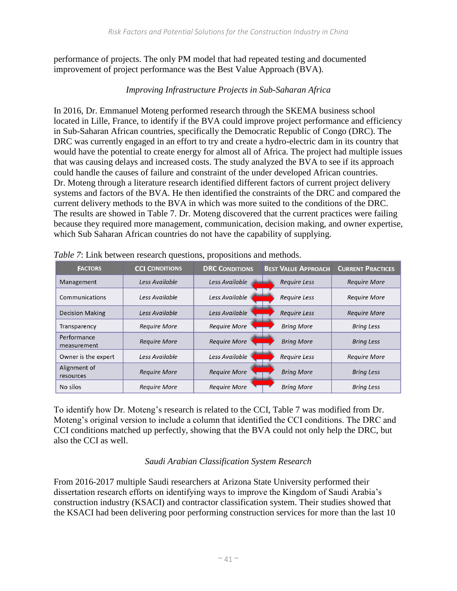performance of projects. The only PM model that had repeated testing and documented improvement of project performance was the Best Value Approach (BVA).

## *Improving Infrastructure Projects in Sub-Saharan Africa*

In 2016, Dr. Emmanuel Moteng performed research through the SKEMA business school located in Lille, France, to identify if the BVA could improve project performance and efficiency in Sub-Saharan African countries, specifically the Democratic Republic of Congo (DRC). The DRC was currently engaged in an effort to try and create a hydro-electric dam in its country that would have the potential to create energy for almost all of Africa. The project had multiple issues that was causing delays and increased costs. The study analyzed the BVA to see if its approach could handle the causes of failure and constraint of the under developed African countries. Dr. Moteng through a literature research identified different factors of current project delivery systems and factors of the BVA. He then identified the constraints of the DRC and compared the current delivery methods to the BVA in which was more suited to the conditions of the DRC. The results are showed in Table 7. Dr. Moteng discovered that the current practices were failing because they required more management, communication, decision making, and owner expertise, which Sub Saharan African countries do not have the capability of supplying.

| <b>FACTORS</b>             | <b>CCI CONDITIONS</b> | <b>DRC CONDITIONS</b> | <b>BEST VALUE APPROACH</b> | <b>CURRENT PRACTICES</b> |
|----------------------------|-----------------------|-----------------------|----------------------------|--------------------------|
| Management                 | Less Available        | Less Available        | <b>Require Less</b>        | <b>Require More</b>      |
| Communications             | Less Available        | Less Available        | Require Less               | <b>Require More</b>      |
| <b>Decision Making</b>     | Less Available        | Less Available        | <b>Require Less</b>        | <b>Require More</b>      |
| Transparency               | <b>Require More</b>   | <b>Require More</b>   | <b>Bring More</b>          | <b>Bring Less</b>        |
| Performance<br>measurement | <b>Require More</b>   | <b>Require More</b>   | <b>Bring More</b>          | <b>Bring Less</b>        |
| Owner is the expert        | Less Available        | Less Available        | Require Less               | <b>Require More</b>      |
| Alignment of<br>resources  | <b>Require More</b>   | <b>Require More</b>   | <b>Bring More</b>          | <b>Bring Less</b>        |
| No silos                   | <b>Require More</b>   | <b>Require More</b>   | <b>Bring More</b>          | <b>Bring Less</b>        |

*Table 7*: Link between research questions, propositions and methods.

To identify how Dr. Moteng's research is related to the CCI, Table 7 was modified from Dr. Moteng's original version to include a column that identified the CCI conditions. The DRC and CCI conditions matched up perfectly, showing that the BVA could not only help the DRC, but also the CCI as well.

#### *Saudi Arabian Classification System Research*

From 2016-2017 multiple Saudi researchers at Arizona State University performed their dissertation research efforts on identifying ways to improve the Kingdom of Saudi Arabia's construction industry (KSACI) and contractor classification system. Their studies showed that the KSACI had been delivering poor performing construction services for more than the last 10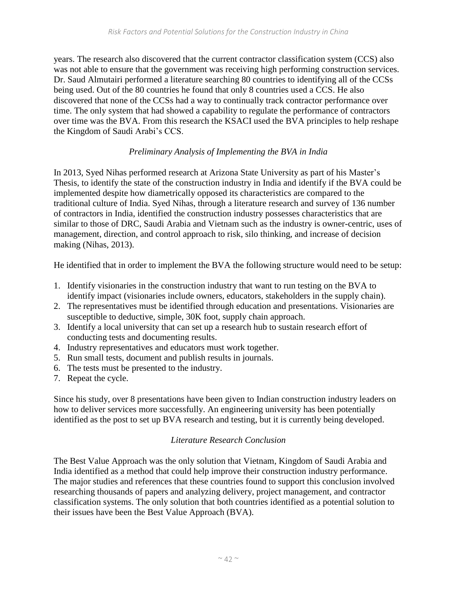years. The research also discovered that the current contractor classification system (CCS) also was not able to ensure that the government was receiving high performing construction services. Dr. Saud Almutairi performed a literature searching 80 countries to identifying all of the CCSs being used. Out of the 80 countries he found that only 8 countries used a CCS. He also discovered that none of the CCSs had a way to continually track contractor performance over time. The only system that had showed a capability to regulate the performance of contractors over time was the BVA. From this research the KSACI used the BVA principles to help reshape the Kingdom of Saudi Arabi's CCS.

## *Preliminary Analysis of Implementing the BVA in India*

In 2013, Syed Nihas performed research at Arizona State University as part of his Master's Thesis, to identify the state of the construction industry in India and identify if the BVA could be implemented despite how diametrically opposed its characteristics are compared to the traditional culture of India. Syed Nihas, through a literature research and survey of 136 number of contractors in India, identified the construction industry possesses characteristics that are similar to those of DRC, Saudi Arabia and Vietnam such as the industry is owner-centric, uses of management, direction, and control approach to risk, silo thinking, and increase of decision making (Nihas, 2013).

He identified that in order to implement the BVA the following structure would need to be setup:

- 1. Identify visionaries in the construction industry that want to run testing on the BVA to identify impact (visionaries include owners, educators, stakeholders in the supply chain).
- 2. The representatives must be identified through education and presentations. Visionaries are susceptible to deductive, simple, 30K foot, supply chain approach.
- 3. Identify a local university that can set up a research hub to sustain research effort of conducting tests and documenting results.
- 4. Industry representatives and educators must work together.
- 5. Run small tests, document and publish results in journals.
- 6. The tests must be presented to the industry.
- 7. Repeat the cycle.

Since his study, over 8 presentations have been given to Indian construction industry leaders on how to deliver services more successfully. An engineering university has been potentially identified as the post to set up BVA research and testing, but it is currently being developed.

#### *Literature Research Conclusion*

The Best Value Approach was the only solution that Vietnam, Kingdom of Saudi Arabia and India identified as a method that could help improve their construction industry performance. The major studies and references that these countries found to support this conclusion involved researching thousands of papers and analyzing delivery, project management, and contractor classification systems. The only solution that both countries identified as a potential solution to their issues have been the Best Value Approach (BVA).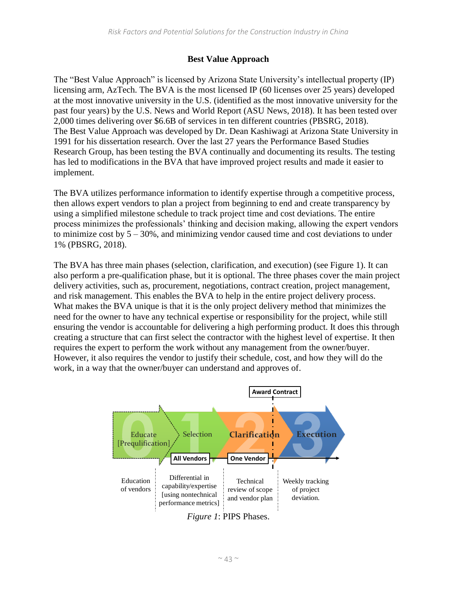## **Best Value Approach**

The "Best Value Approach" is licensed by Arizona State University's intellectual property (IP) licensing arm, AzTech. The BVA is the most licensed IP (60 licenses over 25 years) developed at the most innovative university in the U.S. (identified as the most innovative university for the past four years) by the U.S. News and World Report (ASU News, 2018). It has been tested over 2,000 times delivering over \$6.6B of services in ten different countries (PBSRG, 2018). The Best Value Approach was developed by Dr. Dean Kashiwagi at Arizona State University in 1991 for his dissertation research. Over the last 27 years the Performance Based Studies Research Group, has been testing the BVA continually and documenting its results. The testing has led to modifications in the BVA that have improved project results and made it easier to implement.

The BVA utilizes performance information to identify expertise through a competitive process, then allows expert vendors to plan a project from beginning to end and create transparency by using a simplified milestone schedule to track project time and cost deviations. The entire process minimizes the professionals' thinking and decision making, allowing the expert vendors to minimize cost by  $5 - 30\%$ , and minimizing vendor caused time and cost deviations to under 1% (PBSRG, 2018).

The BVA has three main phases (selection, clarification, and execution) (see Figure 1). It can also perform a pre-qualification phase, but it is optional. The three phases cover the main project delivery activities, such as, procurement, negotiations, contract creation, project management, and risk management. This enables the BVA to help in the entire project delivery process. What makes the BVA unique is that it is the only project delivery method that minimizes the need for the owner to have any technical expertise or responsibility for the project, while still ensuring the vendor is accountable for delivering a high performing product. It does this through creating a structure that can first select the contractor with the highest level of expertise. It then requires the expert to perform the work without any management from the owner/buyer. However, it also requires the vendor to justify their schedule, cost, and how they will do the work, in a way that the owner/buyer can understand and approves of.



*Figure 1*: PIPS Phases.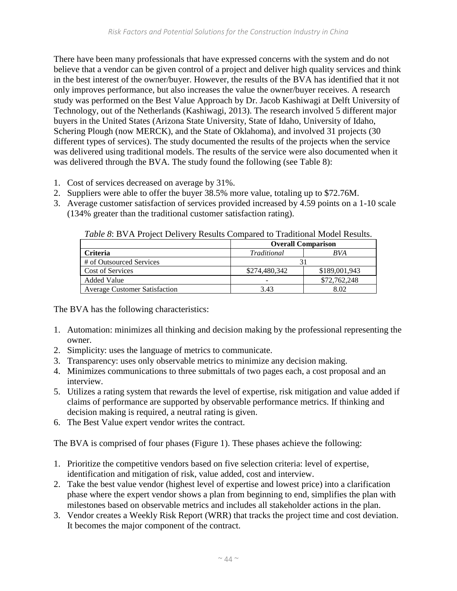There have been many professionals that have expressed concerns with the system and do not believe that a vendor can be given control of a project and deliver high quality services and think in the best interest of the owner/buyer. However, the results of the BVA has identified that it not only improves performance, but also increases the value the owner/buyer receives. A research study was performed on the Best Value Approach by Dr. Jacob Kashiwagi at Delft University of Technology, out of the Netherlands (Kashiwagi, 2013). The research involved 5 different major buyers in the United States (Arizona State University, State of Idaho, University of Idaho, Schering Plough (now MERCK), and the State of Oklahoma), and involved 31 projects (30 different types of services). The study documented the results of the projects when the service was delivered using traditional models. The results of the service were also documented when it was delivered through the BVA. The study found the following (see Table 8):

- 1. Cost of services decreased on average by 31%.
- 2. Suppliers were able to offer the buyer 38.5% more value, totaling up to \$72.76M.
- 3. Average customer satisfaction of services provided increased by 4.59 points on a 1-10 scale (134% greater than the traditional customer satisfaction rating).

|                                      | <b>Overall Comparison</b> |               |  |
|--------------------------------------|---------------------------|---------------|--|
| Criteria                             | Traditional               | <b>BVA</b>    |  |
| # of Outsourced Services             |                           |               |  |
| <b>Cost of Services</b>              | \$274,480,342             | \$189,001,943 |  |
| <b>Added Value</b>                   |                           | \$72,762,248  |  |
| <b>Average Customer Satisfaction</b> | 3.43                      | 8.02          |  |

*Table 8*: BVA Project Delivery Results Compared to Traditional Model Results.

The BVA has the following characteristics:

- 1. Automation: minimizes all thinking and decision making by the professional representing the owner.
- 2. Simplicity: uses the language of metrics to communicate.
- 3. Transparency: uses only observable metrics to minimize any decision making.
- 4. Minimizes communications to three submittals of two pages each, a cost proposal and an interview.
- 5. Utilizes a rating system that rewards the level of expertise, risk mitigation and value added if claims of performance are supported by observable performance metrics. If thinking and decision making is required, a neutral rating is given.
- 6. The Best Value expert vendor writes the contract.

The BVA is comprised of four phases (Figure 1). These phases achieve the following:

- 1. Prioritize the competitive vendors based on five selection criteria: level of expertise, identification and mitigation of risk, value added, cost and interview.
- 2. Take the best value vendor (highest level of expertise and lowest price) into a clarification phase where the expert vendor shows a plan from beginning to end, simplifies the plan with milestones based on observable metrics and includes all stakeholder actions in the plan.
- 3. Vendor creates a Weekly Risk Report (WRR) that tracks the project time and cost deviation. It becomes the major component of the contract.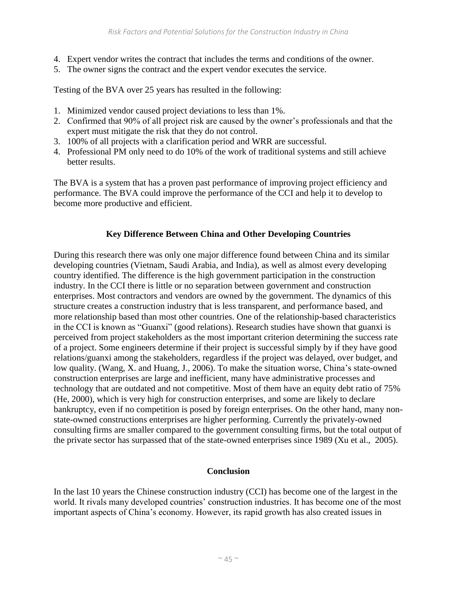- 4. Expert vendor writes the contract that includes the terms and conditions of the owner.
- 5. The owner signs the contract and the expert vendor executes the service.

Testing of the BVA over 25 years has resulted in the following:

- 1. Minimized vendor caused project deviations to less than 1%.
- 2. Confirmed that 90% of all project risk are caused by the owner's professionals and that the expert must mitigate the risk that they do not control.
- 3. 100% of all projects with a clarification period and WRR are successful.
- 4. Professional PM only need to do 10% of the work of traditional systems and still achieve better results.

The BVA is a system that has a proven past performance of improving project efficiency and performance. The BVA could improve the performance of the CCI and help it to develop to become more productive and efficient.

## **Key Difference Between China and Other Developing Countries**

During this research there was only one major difference found between China and its similar developing countries (Vietnam, Saudi Arabia, and India), as well as almost every developing country identified. The difference is the high government participation in the construction industry. In the CCI there is little or no separation between government and construction enterprises. Most contractors and vendors are owned by the government. The dynamics of this structure creates a construction industry that is less transparent, and performance based, and more relationship based than most other countries. One of the relationship-based characteristics in the CCI is known as "Guanxi" (good relations). Research studies have shown that guanxi is perceived from project stakeholders as the most important criterion determining the success rate of a project. Some engineers determine if their project is successful simply by if they have good relations/guanxi among the stakeholders, regardless if the project was delayed, over budget, and low quality. (Wang, X. and Huang, J., 2006). To make the situation worse, China's state-owned construction enterprises are large and inefficient, many have administrative processes and technology that are outdated and not competitive. Most of them have an equity debt ratio of 75% (He, 2000), which is very high for construction enterprises, and some are likely to declare bankruptcy, even if no competition is posed by foreign enterprises. On the other hand, many nonstate-owned constructions enterprises are higher performing. Currently the privately-owned consulting firms are smaller compared to the government consulting firms, but the total output of the private sector has surpassed that of the state-owned enterprises since 1989 (Xu et al., 2005).

#### **Conclusion**

In the last 10 years the Chinese construction industry (CCI) has become one of the largest in the world. It rivals many developed countries' construction industries. It has become one of the most important aspects of China's economy. However, its rapid growth has also created issues in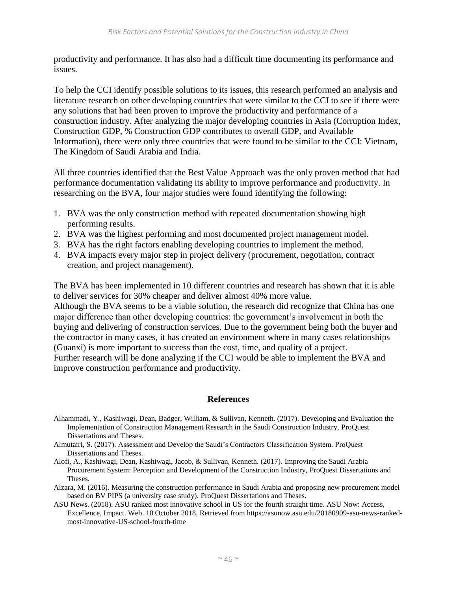productivity and performance. It has also had a difficult time documenting its performance and issues.

To help the CCI identify possible solutions to its issues, this research performed an analysis and literature research on other developing countries that were similar to the CCI to see if there were any solutions that had been proven to improve the productivity and performance of a construction industry. After analyzing the major developing countries in Asia (Corruption Index, Construction GDP, % Construction GDP contributes to overall GDP, and Available Information), there were only three countries that were found to be similar to the CCI: Vietnam, The Kingdom of Saudi Arabia and India.

All three countries identified that the Best Value Approach was the only proven method that had performance documentation validating its ability to improve performance and productivity. In researching on the BVA, four major studies were found identifying the following:

- 1. BVA was the only construction method with repeated documentation showing high performing results.
- 2. BVA was the highest performing and most documented project management model.
- 3. BVA has the right factors enabling developing countries to implement the method.
- 4. BVA impacts every major step in project delivery (procurement, negotiation, contract creation, and project management).

The BVA has been implemented in 10 different countries and research has shown that it is able to deliver services for 30% cheaper and deliver almost 40% more value.

Although the BVA seems to be a viable solution, the research did recognize that China has one major difference than other developing countries: the government's involvement in both the buying and delivering of construction services. Due to the government being both the buyer and the contractor in many cases, it has created an environment where in many cases relationships (Guanxi) is more important to success than the cost, time, and quality of a project. Further research will be done analyzing if the CCI would be able to implement the BVA and improve construction performance and productivity.

#### **References**

- Alhammadi, Y., Kashiwagi, Dean, Badger, William, & Sullivan, Kenneth. (2017). Developing and Evaluation the Implementation of Construction Management Research in the Saudi Construction Industry, ProQuest Dissertations and Theses.
- Almutairi, S. (2017). Assessment and Develop the Saudi's Contractors Classification System. ProQuest Dissertations and Theses.
- Alofi, A., Kashiwagi, Dean, Kashiwagi, Jacob, & Sullivan, Kenneth. (2017). Improving the Saudi Arabia Procurement System: Perception and Development of the Construction Industry, ProQuest Dissertations and Theses.
- Alzara, M. (2016). Measuring the construction performance in Saudi Arabia and proposing new procurement model based on BV PIPS (a university case study). ProQuest Dissertations and Theses.
- ASU News. (2018). ASU ranked most innovative school in US for the fourth straight time. ASU Now: Access, Excellence, Impact. Web. 10 October 2018. Retrieved from [https://asunow.asu.edu/20180909-asu-news-ranked](https://asunow.asu.edu/20180909-asu-news-ranked-most-innovative-US-school-fourth-time)[most-innovative-US-school-fourth-time](https://asunow.asu.edu/20180909-asu-news-ranked-most-innovative-US-school-fourth-time)